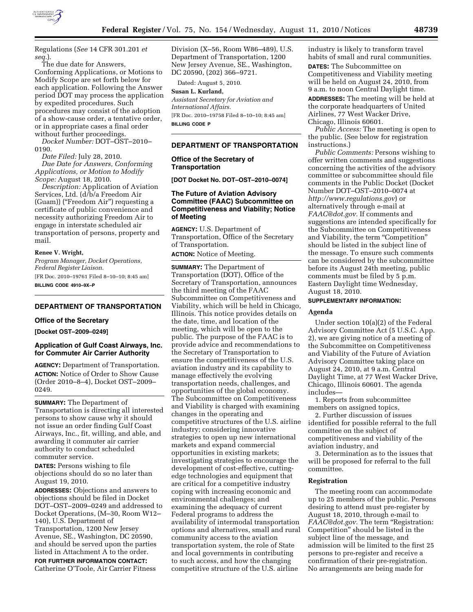

Regulations (*See* 14 CFR 301.201 *et seq.*).

The due date for Answers, Conforming Applications, or Motions to Modify Scope are set forth below for each application. Following the Answer period DOT may process the application by expedited procedures. Such procedures may consist of the adoption of a show-cause order, a tentative order, or in appropriate cases a final order without further proceedings.

*Docket Number:* DOT–OST–2010– 0190.

*Date Filed:* July 28, 2010. *Due Date for Answers, Conforming Applications, or Motion to Modify Scope:* August 18, 2010.

*Description:* Application of Aviation Services, Ltd. (d/b/a Freedom Air (Guam)) (''Freedom Air'') requesting a certificate of public convenience and necessity authorizing Freedom Air to engage in interstate scheduled air transportation of persons, property and mail.

#### **Renee V. Wright,**

*Program Manager, Docket Operations, Federal Register Liaison.* 

[FR Doc. 2010–19761 Filed 8–10–10; 8:45 am] **BILLING CODE 4910–9X–P** 

# **DEPARTMENT OF TRANSPORTATION**

### **Office of the Secretary**

**[Docket OST–2009–0249]** 

# **Application of Gulf Coast Airways, Inc. for Commuter Air Carrier Authority**

**AGENCY:** Department of Transportation. **ACTION:** Notice of Order to Show Cause (Order 2010–8–4), Docket OST–2009– 0249.

**SUMMARY:** The Department of Transportation is directing all interested persons to show cause why it should not issue an order finding Gulf Coast Airways, Inc., fit, willing, and able, and awarding it commuter air carrier authority to conduct scheduled commuter service.

**DATES:** Persons wishing to file objections should do so no later than August 19, 2010.

**ADDRESSES:** Objections and answers to objections should be filed in Docket DOT–OST–2009–0249 and addressed to Docket Operations, (M–30, Room W12– 140), U.S. Department of Transportation, 1200 New Jersey Avenue, SE., Washington, DC 20590, and should be served upon the parties listed in Attachment A to the order.

**FOR FURTHER INFORMATION CONTACT:**  Catherine O'Toole, Air Carrier Fitness

Division (X–56, Room W86–489), U.S. Department of Transportation, 1200 New Jersey Avenue, SE., Washington, DC 20590, (202) 366–9721.

Dated: August 5, 2010.

**Susan L. Kurland,**  *Assistant Secretary for Aviation and International Affairs.*  [FR Doc. 2010–19758 Filed 8–10–10; 8:45 am] **BILLING CODE P** 

# **DEPARTMENT OF TRANSPORTATION**

**Office of the Secretary of Transportation** 

**[DOT Docket No. DOT–OST–2010–0074]** 

# **The Future of Aviation Advisory Committee (FAAC) Subcommittee on Competitiveness and Viability; Notice of Meeting**

**AGENCY:** U.S. Department of Transportation, Office of the Secretary of Transportation.

**ACTION:** Notice of Meeting.

**SUMMARY:** The Department of Transportation (DOT), Office of the Secretary of Transportation, announces the third meeting of the FAAC Subcommittee on Competitiveness and Viability, which will be held in Chicago, Illinois. This notice provides details on the date, time, and location of the meeting, which will be open to the public. The purpose of the FAAC is to provide advice and recommendations to the Secretary of Transportation to ensure the competitiveness of the U.S. aviation industry and its capability to manage effectively the evolving transportation needs, challenges, and opportunities of the global economy. The Subcommittee on Competitiveness and Viability is charged with examining changes in the operating and competitive structures of the U.S. airline industry; considering innovative strategies to open up new international markets and expand commercial opportunities in existing markets; investigating strategies to encourage the development of cost-effective, cuttingedge technologies and equipment that are critical for a competitive industry coping with increasing economic and environmental challenges; and examining the adequacy of current Federal programs to address the availability of intermodal transportation options and alternatives, small and rural community access to the aviation transportation system, the role of State and local governments in contributing to such access, and how the changing competitive structure of the U.S. airline

industry is likely to transform travel habits of small and rural communities. **DATES:** The Subcommittee on Competitiveness and Viability meeting will be held on August 24, 2010, from 9 a.m. to noon Central Daylight time.

**ADDRESSES:** The meeting will be held at the corporate headquarters of United Airlines, 77 West Wacker Drive, Chicago, Illinois 60601.

*Public Access:* The meeting is open to the public. (See below for registration instructions.)

*Public Comments:* Persons wishing to offer written comments and suggestions concerning the activities of the advisory committee or subcommittee should file comments in the Public Docket (Docket Number DOT–OST–2010–0074 at *<http://www.regulations.gov>*) or alternatively through e-mail at *[FAAC@dot.gov.](mailto:FAAC@dot.gov)* If comments and suggestions are intended specifically for the Subcommittee on Competitiveness and Viability, the term "Competition" should be listed in the subject line of the message. To ensure such comments can be considered by the subcommittee before its August 24th meeting, public comments must be filed by 5 p.m. Eastern Daylight time Wednesday, August 18, 2010.

# **SUPPLEMENTARY INFORMATION:**

#### **Agenda**

Under section 10(a)(2) of the Federal Advisory Committee Act (5 U.S.C. App. 2), we are giving notice of a meeting of the Subcommittee on Competitiveness and Viability of the Future of Aviation Advisory Committee taking place on August 24, 2010, at 9 a.m. Central Daylight Time, at 77 West Wacker Drive, Chicago, Illinois 60601. The agenda includes—

1. Reports from subcommittee members on assigned topics,

2. Further discussion of issues identified for possible referral to the full committee on the subject of competitiveness and viability of the aviation industry, and

3. Determination as to the issues that will be proposed for referral to the full committee.

### **Registration**

The meeting room can accommodate up to 25 members of the public. Persons desiring to attend must pre-register by August 18, 2010, through e-mail to *[FAAC@dot.gov.](mailto:FAAC@dot.gov)* The term ''Registration: Competition'' should be listed in the subject line of the message, and admission will be limited to the first 25 persons to pre-register and receive a confirmation of their pre-registration. No arrangements are being made for